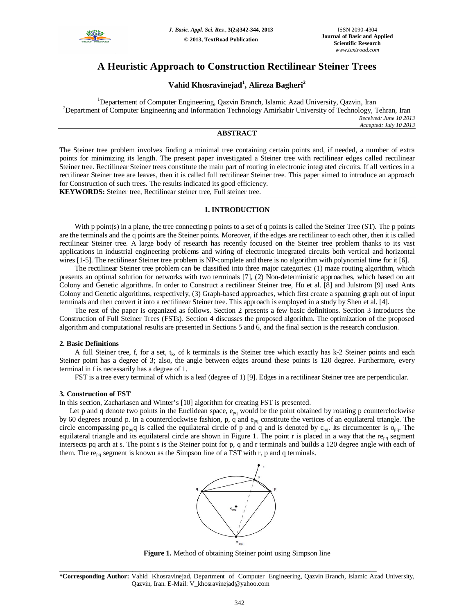

# **A Heuristic Approach to Construction Rectilinear Steiner Trees**

## **Vahid Khosravinejad<sup>1</sup> , Alireza Bagheri<sup>2</sup>**

<sup>1</sup>Departement of Computer Engineering, Qazvin Branch, Islamic Azad University, Qazvin, Iran <sup>2</sup>Department of Computer Engineering and Information Technology Amirkabir University of Technology, Tehran, Iran *Received: June 10 2013 Accepted: July 10 2013*

## **ABSTRACT**

The Steiner tree problem involves finding a minimal tree containing certain points and, if needed, a number of extra points for minimizing its length. The present paper investigated a Steiner tree with rectilinear edges called rectilinear Steiner tree. Rectilinear Steiner trees constitute the main part of routing in electronic integrated circuits. If all vertices in a rectilinear Steiner tree are leaves, then it is called full rectilinear Steiner tree. This paper aimed to introduce an approach for Construction of such trees. The results indicated its good efficiency. **KEYWORDS:** Steiner tree, Rectilinear steiner tree, Full steiner tree.

## **1. INTRODUCTION**

With p point(s) in a plane, the tree connecting p points to a set of q points is called the Steiner Tree (ST). The p points are the terminals and the q points are the Steiner points. Moreover, if the edges are rectilinear to each other, then it is called rectilinear Steiner tree. A large body of research has recently focused on the Steiner tree problem thanks to its vast applications in industrial engineering problems and wiring of electronic integrated circuits both vertical and horizontal wires [1-5]. The rectilinear Steiner tree problem is NP-complete and there is no algorithm with polynomial time for it [6].

The rectilinear Steiner tree problem can be classified into three major categories: (1) maze routing algorithm, which presents an optimal solution for networks with two terminals [7], (2) Non-deterministic approaches, which based on ant Colony and Genetic algorithms. In order to Construct a rectilinear Steiner tree, Hu et al. [8] and Julstrom [9] used Ants Colony and Genetic algorithms, respectively, (3) Graph-based approaches, which first create a spanning graph out of input terminals and then convert it into a rectilinear Steiner tree. This approach is employed in a study by Shen et al. [4].

The rest of the paper is organized as follows. Section 2 presents a few basic definitions. Section 3 introduces the Construction of Full Steiner Trees (FSTs). Section 4 discusses the proposed algorithm. The optimization of the proposed algorithm and computational results are presented in Sections 5 and 6, and the final section is the research conclusion.

### **2. Basic Definitions**

A full Steiner tree, f, for a set,  $t_k$ , of k terminals is the Steiner tree which exactly has k-2 Steiner points and each Steiner point has a degree of 3; also, the angle between edges around these points is 120 degree. Furthermore, every terminal in f is necessarily has a degree of 1.

FST is a tree every terminal of which is a leaf (degree of 1) [9]. Edges in a rectilinear Steiner tree are perpendicular.

### **3. Construction of FST**

In this section, Zachariasen and Winter's [10] algorithm for creating FST is presented.

Let p and q denote two points in the Euclidean space,  $e_{pq}$  would be the point obtained by rotating p counterclockwise by 60 degrees around p. In a counterclockwise fashion, p, q and  $e_{pq}$  constitute the vertices of an equilateral triangle. The circle encompassing  $pe_{pq}q$  is called the equilateral circle of p and q and is denoted by  $c_{pq}$ . Its circumcenter is  $o_{pq}$ . The equilateral triangle and its equilateral circle are shown in Figure 1. The point r is placed in a way that the re $_{pq}$  segment intersects pq arch at s. The point s is the Steiner point for p, q and r terminals and builds a 120 degree angle with each of them. The re<sub>pq</sub> segment is known as the Simpson line of a FST with r, p and q terminals.



**Figure 1.** Method of obtaining Steiner point using Simpson line

**\*Corresponding Author:** Vahid Khosravinejad, Department of Computer Engineering, Qazvin Branch, Islamic Azad University, Qazvin, Iran. E-Mail: V\_khosravinejad@yahoo.com

\_\_\_\_\_\_\_\_\_\_\_\_\_\_\_\_\_\_\_\_\_\_\_\_\_\_\_\_\_\_\_\_\_\_\_\_\_\_\_\_\_\_\_\_\_\_\_\_\_\_\_\_\_\_\_\_\_\_\_\_\_\_\_\_\_\_\_\_\_\_\_\_\_\_\_\_\_\_\_\_\_\_\_\_\_\_\_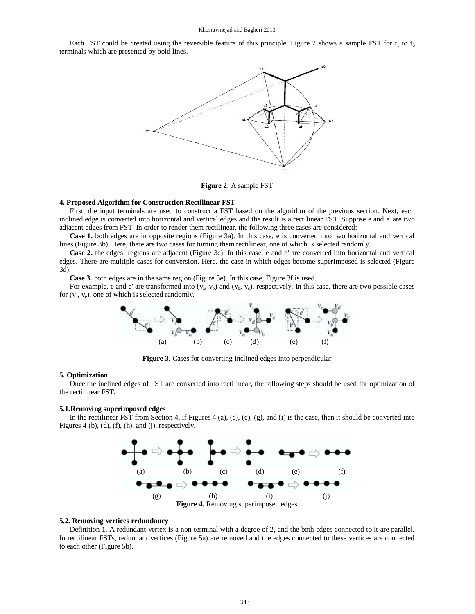Each FST could be created using the reversible feature of this principle. Figure 2 shows a sample FST for  $t_1$  to  $t_6$ terminals which are presented by bold lines.



**Figure 2.** A sample FST

#### **4. Proposed Algorithm for Construction Rectilinear FST**

First, the input terminals are used to construct a FST based on the algorithm of the previous section. Next, each inclined edge is converted into horizontal and vertical edges and the result is a rectilinear FST. Suppose e and e' are two adjacent edges from FST. In order to render them rectilinear, the following three cases are considered:

**Case 1.** both edges are in opposite regions (Figure 3a). In this case, e is converted into two horizontal and vertical lines (Figure 3b). Here, there are two cases for turning them rectilinear, one of which is selected randomly.

**Case 2.** the edges' regions are adjacent (Figure 3c). In this case, e and e' are converted into horizontal and vertical edges. There are multiple cases for conversion. Here, the case in which edges become superimposed is selected (Figure 3d).

**Case 3.** both edges are in the same region (Figure 3e). In this case, Figure 3f is used.

For example, e and e' are transformed into  $(v_a, v_b)$  and  $(v_b, v_c)$ , respectively. In this case, there are two possible cases for  $(v_c, v_e)$ , one of which is selected randomly.



**Figure 3**. Cases for converting inclined edges into perpendicular

#### **5. Optimization**

Once the inclined edges of FST are converted into rectilinear, the following steps should be used for optimization of the rectilinear FST.

#### **5.1.Removing superimposed edges**

In the rectilinear FST from Section 4, if Figures 4 (a), (c), (e), (g), and (i) is the case, then it should be converted into Figures 4 (b), (d), (f), (h), and (j), respectively.



#### **5.2. Removing vertices redundancy**

Definition 1. A redundant-vertex is a non-terminal with a degree of 2, and the both edges connected to it are parallel. In rectilinear FSTs, redundant vertices (Figure 5a) are removed and the edges connected to these vertices are connected to each other (Figure 5b).